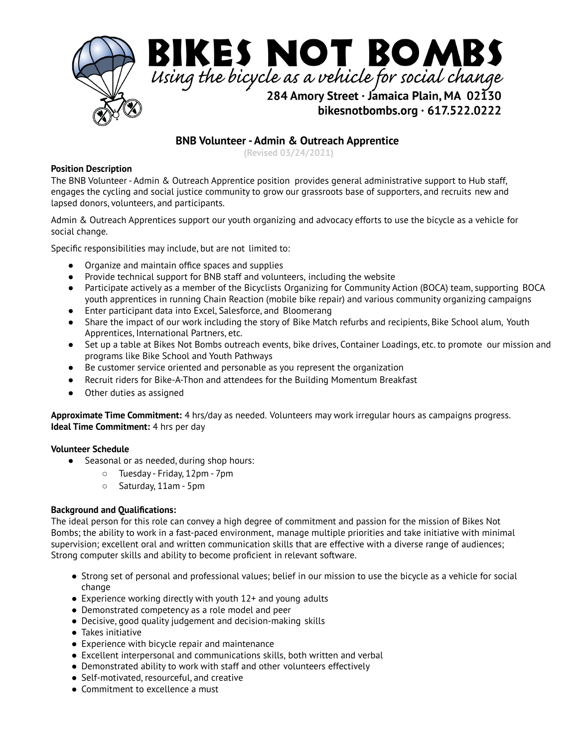

# **BNB Volunteer -Admin & Outreach Apprentice**

**(Revised 03/24/2021)**

### **Position Description**

The BNB Volunteer - Admin & Outreach Apprentice position provides general administrative support to Hub staff, engages the cycling and social justice community to grow our grassroots base of supporters, and recruits new and lapsed donors, volunteers, and participants.

Admin & Outreach Apprentices support our youth organizing and advocacy efforts to use the bicycle as a vehicle for social change.

Specific responsibilities may include, but are not limited to:

- Organize and maintain office spaces and supplies
- Provide technical support for BNB staff and volunteers, including the website
- Participate actively as a member of the Bicyclists Organizing for Community Action (BOCA) team, supporting BOCA youth apprentices in running Chain Reaction (mobile bike repair) and various community organizing campaigns
- Enter participant data into Excel, Salesforce, and Bloomerang
- Share the impact of our work including the story of Bike Match refurbs and recipients, Bike School alum, Youth Apprentices, International Partners, etc.
- Set up a table at Bikes Not Bombs outreach events, bike drives, Container Loadings, etc. to promote our mission and programs like Bike School and Youth Pathways
- Be customer service oriented and personable as you represent the organization
- Recruit riders for Bike-A-Thon and attendees for the Building Momentum Breakfast
- Other duties as assigned

**Approximate Time Commitment:** 4 hrs/day as needed. Volunteers may work irregular hours as campaigns progress. **Ideal Time Commitment:** 4 hrs per day

### **Volunteer Schedule**

- Seasonal or as needed, during shop hours:
	- Tuesday Friday, 12pm 7pm
	- Saturday, 11am 5pm

# **Background and Qualifications:**

The ideal person for this role can convey a high degree of commitment and passion for the mission of Bikes Not Bombs; the ability to work in a fast-paced environment, manage multiple priorities and take initiative with minimal supervision; excellent oral and written communication skills that are effective with a diverse range of audiences; Strong computer skills and ability to become proficient in relevant software.

- Strong set of personal and professional values; belief in our mission to use the bicycle as a vehicle for social change
- $\bullet$  Experience working directly with youth 12+ and young adults
- Demonstrated competency as a role model and peer
- Decisive, good quality judgement and decision-making skills
- Takes initiative
- Experience with bicycle repair and maintenance
- Excellent interpersonal and communications skills, both written and verbal
- Demonstrated ability to work with staff and other volunteers effectively
- Self-motivated, resourceful, and creative
- Commitment to excellence a must